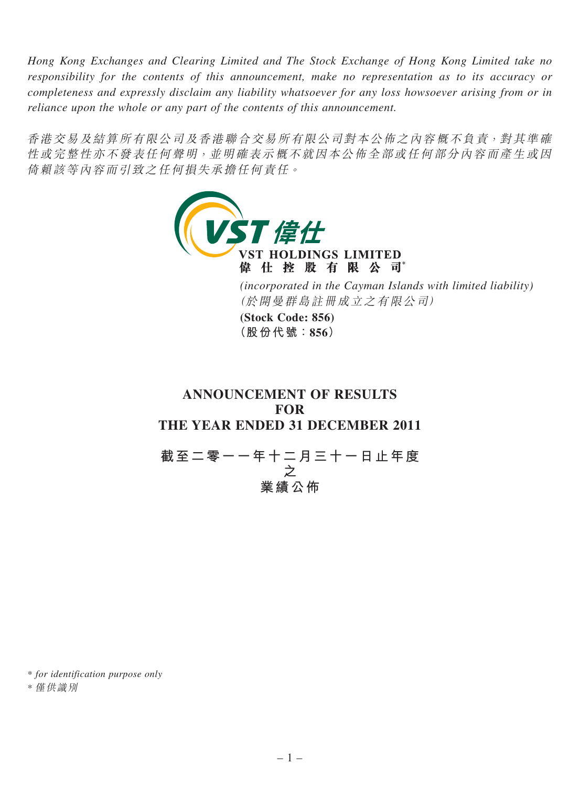*Hong Kong Exchanges and Clearing Limited and The Stock Exchange of Hong Kong Limited take no responsibility for the contents of this announcement, make no representation as to its accuracy or completeness and expressly disclaim any liability whatsoever for any loss howsoever arising from or in reliance upon the whole or any part of the contents of this announcement.*

香港交易及結算所有限公司及香港聯合交易所有限公司對本公佈之內容概不負責,對其準確 性或完整性亦不發表任何聲明,並明確表示概不就因本公佈全部或任何部分內容而產生或因 倚賴該等內容而引致之任何損失承擔任何責任。



**ANNOUNCEMENT OF RESULTS FOR THE YEAR ENDED 31 DECEMBER 2011**

**截至二零一一年十二月三十一日止年度 之 業績公佈**

\* *for identification purpose only*

\* 僅供識別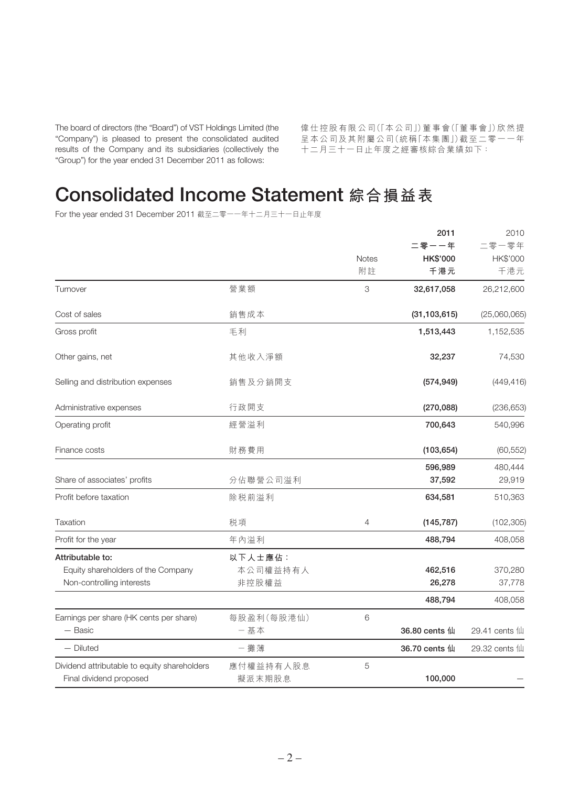The board of directors (the "Board") of VST Holdings Limited (the "Company") is pleased to present the consolidated audited results of the Company and its subsidiaries (collectively the "Group") for the year ended 31 December 2011 as follows:

偉仕控股有限公司(「本公司」)董事會(「董事會」)欣然提 呈本公司及其附屬公司(統稱「本集團」)截至二零一一年 十二月三十一日止年度之經審核綜合業績如下:

# Consolidated Income Statement **綜合損益表**

For the year ended 31 December 2011 截至二零一一年十二月三十一日止年度

|                                              |              |          | 2011           | 2010          |
|----------------------------------------------|--------------|----------|----------------|---------------|
|                                              |              |          | 二零一一年          | 二零一零年         |
|                                              | <b>Notes</b> | HK\$'000 | HK\$'000       |               |
|                                              |              | 附註       | 千港元            | 千港元           |
| Turnover                                     | 營業額          | 3        | 32,617,058     | 26,212,600    |
| Cost of sales                                | 銷售成本         |          | (31, 103, 615) | (25,060,065)  |
| Gross profit                                 | 毛利           |          | 1,513,443      | 1,152,535     |
| Other gains, net                             | 其他收入淨額       |          | 32,237         | 74,530        |
| Selling and distribution expenses            | 銷售及分銷開支      |          | (574, 949)     | (449, 416)    |
| Administrative expenses                      | 行政開支         |          | (270, 088)     | (236, 653)    |
| Operating profit                             | 經營溢利         |          | 700,643        | 540,996       |
| Finance costs                                | 財務費用         |          | (103, 654)     | (60, 552)     |
|                                              |              |          | 596,989        | 480,444       |
| Share of associates' profits                 | 分佔聯營公司溢利     |          | 37,592         | 29,919        |
| Profit before taxation                       | 除税前溢利        |          | 634,581        | 510,363       |
| Taxation                                     | 税項           | 4        | (145, 787)     | (102, 305)    |
| Profit for the year                          | 年內溢利         |          | 488,794        | 408,058       |
| Attributable to:                             | 以下人士應佔:      |          |                |               |
| Equity shareholders of the Company           | 本公司權益持有人     |          | 462,516        | 370,280       |
| Non-controlling interests                    | 非控股權益        |          | 26,278         | 37,778        |
|                                              |              |          | 488,794        | 408,058       |
| Earnings per share (HK cents per share)      | 每股盈利(每股港仙)   | 6        |                |               |
| - Basic                                      | 一基本          |          | 36.80 cents 仙  | 29.41 cents 仙 |
| — Diluted                                    | - 攤薄         |          | 36.70 cents 仙  | 29.32 cents 仙 |
| Dividend attributable to equity shareholders | 應付權益持有人股息    | 5        |                |               |
| Final dividend proposed                      | 擬派末期股息       |          | 100,000        |               |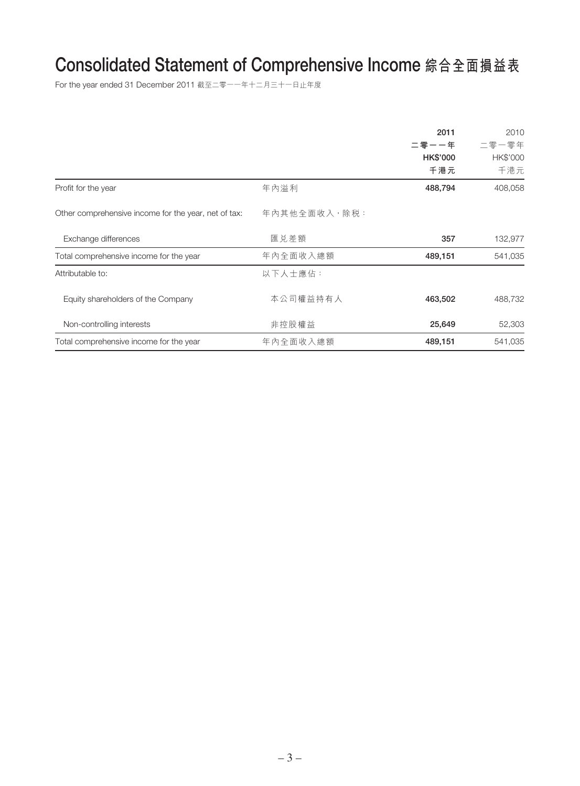# Consolidated Statement of Comprehensive Income **綜合全面損益表**

For the year ended 31 December 2011 截至二零一一年十二月三十一日止年度

|                                                      |              | 2011            | 2010     |
|------------------------------------------------------|--------------|-----------------|----------|
|                                                      |              | 二零一一年           | 二零一零年    |
|                                                      |              | <b>HK\$'000</b> | HK\$'000 |
|                                                      |              | 千港元             | 千港元      |
| Profit for the year                                  | 年內溢利         | 488,794         | 408,058  |
| Other comprehensive income for the year, net of tax: | 年內其他全面收入,除税: |                 |          |
| Exchange differences                                 | 匯兑差額         | 357             | 132,977  |
| Total comprehensive income for the year              | 年內全面收入總額     | 489,151         | 541,035  |
| Attributable to:                                     | 以下人士應佔:      |                 |          |
| Equity shareholders of the Company                   | 本公司權益持有人     | 463,502         | 488,732  |
| Non-controlling interests                            | 非控股權益        | 25,649          | 52,303   |
| Total comprehensive income for the year              | 年內全面收入總額     | 489,151         | 541,035  |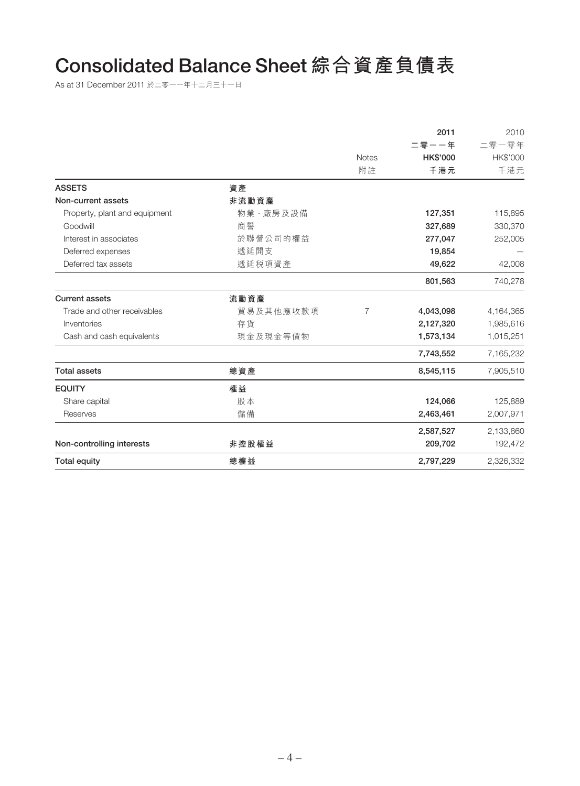# Consolidated Balance Sheet **綜合資產負債表**

As at 31 December 2011 於二零一一年十二月三十一日

|                               |           |                | 2011      | 2010      |
|-------------------------------|-----------|----------------|-----------|-----------|
|                               |           |                | 二零一一年     | 二零一零年     |
|                               |           | <b>Notes</b>   | HK\$'000  | HK\$'000  |
|                               |           | 附註             | 千港元       | 千港元       |
| <b>ASSETS</b>                 | 資產        |                |           |           |
| Non-current assets            | 非流動資產     |                |           |           |
| Property, plant and equipment | 物業、廠房及設備  |                | 127,351   | 115,895   |
| Goodwill                      | 商譽        |                | 327,689   | 330,370   |
| Interest in associates        | 於聯營公司的權益  |                | 277,047   | 252,005   |
| Deferred expenses             | 遞延開支      |                | 19,854    |           |
| Deferred tax assets           | 遞延税項資產    |                | 49,622    | 42,008    |
|                               |           |                | 801,563   | 740,278   |
| <b>Current assets</b>         | 流動資產      |                |           |           |
| Trade and other receivables   | 貿易及其他應收款項 | $\overline{7}$ | 4,043,098 | 4,164,365 |
| Inventories                   | 存貨        |                | 2,127,320 | 1,985,616 |
| Cash and cash equivalents     | 現金及現金等價物  |                | 1,573,134 | 1,015,251 |
|                               |           |                | 7,743,552 | 7,165,232 |
| <b>Total assets</b>           | 總資產       |                | 8,545,115 | 7,905,510 |
| <b>EQUITY</b>                 | 權益        |                |           |           |
| Share capital                 | 股本        |                | 124,066   | 125,889   |
| Reserves                      | 儲備        |                | 2,463,461 | 2,007,971 |
|                               |           |                | 2,587,527 | 2,133,860 |
| Non-controlling interests     | 非控股權益     |                | 209,702   | 192,472   |
| <b>Total equity</b>           | 總權益       |                | 2,797,229 | 2,326,332 |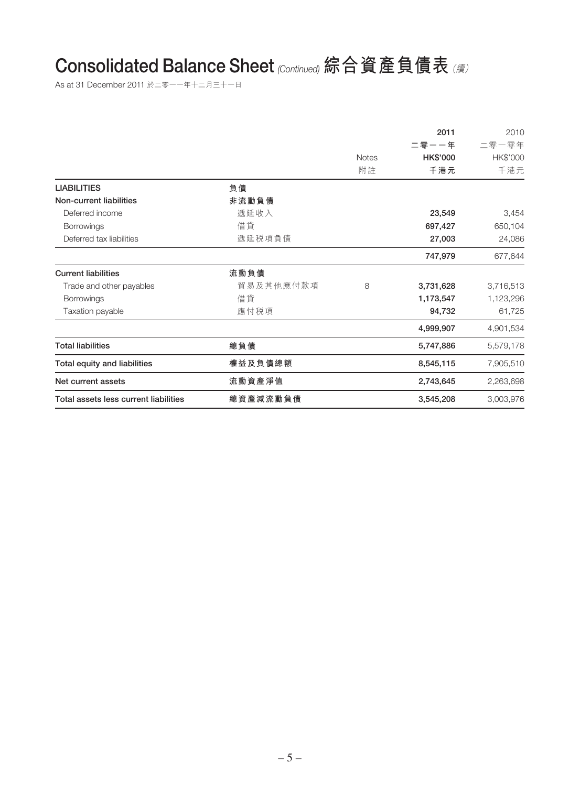# Consolidated Balance Sheet (Continued) **綜合資產負債表** (續)

As at 31 December 2011 於二零一一年十二月三十一日

|                                       |           |              | 2011            | 2010      |
|---------------------------------------|-----------|--------------|-----------------|-----------|
|                                       |           |              | 二零一一年           | 二零一零年     |
|                                       |           | <b>Notes</b> | <b>HK\$'000</b> | HK\$'000  |
|                                       |           | 附註           | 千港元             | 千港元       |
| <b>LIABILITIES</b>                    | 負債        |              |                 |           |
| Non-current liabilities               | 非流動負債     |              |                 |           |
| Deferred income                       | 遞延收入      |              | 23,549          | 3,454     |
| Borrowings                            | 借貸        |              | 697,427         | 650,104   |
| Deferred tax liabilities              | 遞延税項負債    |              | 27,003          | 24,086    |
|                                       |           |              | 747,979         | 677,644   |
| <b>Current liabilities</b>            | 流動負債      |              |                 |           |
| Trade and other payables              | 貿易及其他應付款項 | 8            | 3,731,628       | 3,716,513 |
| Borrowings                            | 借貸        |              | 1,173,547       | 1,123,296 |
| Taxation payable                      | 應付税項      |              | 94,732          | 61,725    |
|                                       |           |              | 4,999,907       | 4,901,534 |
| <b>Total liabilities</b>              | 總負債       |              | 5,747,886       | 5,579,178 |
| Total equity and liabilities          | 權益及負債總額   |              | 8,545,115       | 7,905,510 |
| Net current assets                    | 流動資產淨值    |              | 2,743,645       | 2,263,698 |
| Total assets less current liabilities | 總資產減流動負債  |              | 3,545,208       | 3,003,976 |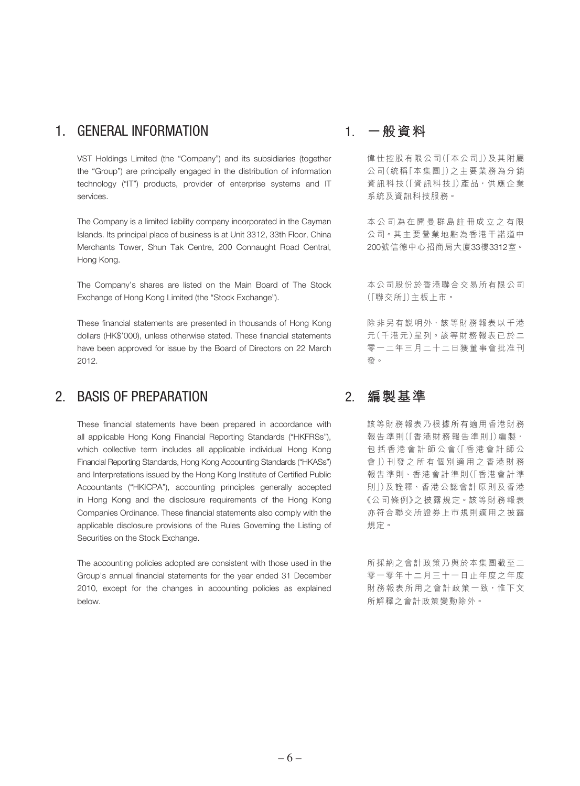### 1. GENERAL INFORMATION

VST Holdings Limited (the "Company") and its subsidiaries (together the "Group") are principally engaged in the distribution of information technology ("IT") products, provider of enterprise systems and IT services.

The Company is a limited liability company incorporated in the Cayman Islands. Its principal place of business is at Unit 3312, 33th Floor, China Merchants Tower, Shun Tak Centre, 200 Connaught Road Central, Hong Kong.

The Company's shares are listed on the Main Board of The Stock Exchange of Hong Kong Limited (the "Stock Exchange").

These financial statements are presented in thousands of Hong Kong dollars (HK\$'000), unless otherwise stated. These financial statements have been approved for issue by the Board of Directors on 22 March 2012.

### 2. BASIS OF PREPARATION

These financial statements have been prepared in accordance with all applicable Hong Kong Financial Reporting Standards ("HKFRSs"), which collective term includes all applicable individual Hong Kong Financial Reporting Standards, Hong Kong Accounting Standards ("HKASs") and Interpretations issued by the Hong Kong Institute of Certified Public Accountants ("HKICPA"), accounting principles generally accepted in Hong Kong and the disclosure requirements of the Hong Kong Companies Ordinance. These financial statements also comply with the applicable disclosure provisions of the Rules Governing the Listing of Securities on the Stock Exchange.

The accounting policies adopted are consistent with those used in the Group's annual financial statements for the year ended 31 December 2010, except for the changes in accounting policies as explained below.

### 1. **一般資料**

偉仕控股有限公司(「本公司」)及其附屬 公司(統稱「本集團」)之主要業務為分銷 資訊科技(「資訊科技」)產品,供應企業 系統及資訊科技服務。

本公司為在開曼群島註冊成立之有限 公司。其主要營業地點為香港干諾道中 200號信德中心招商局大廈33樓3312室。

本公司股份於香港聯合交易所有限公司 (「聯交所」)主板上市。

除非另有說明外,該等財務報表以千港 元(千港元)呈列。該等財務報表已於二 零一二年三月二十二日獲董事會批准刊 發。

### 2. **編製基準**

該等財務報表乃根據所有適用香港財務 報告準則(「香港財務報告準則」)編製, 包括香港會計師公會(「香港會計師公 會」)刊發之所有個別適用之香港財務 報告準則、香港會計準則(「香港會計準 則」)及詮釋、香港公認會計原則及香港 《公司條例》之披露規定。該等財務報表 亦符合聯交所證券上巿規則適用之披露 規定。

所採納之會計政策乃與於本集團截至二 零一零年十二月三十一日止年度之年度 財務報表所用之會計政策一致,惟下文 所解釋之會計政策變動除外。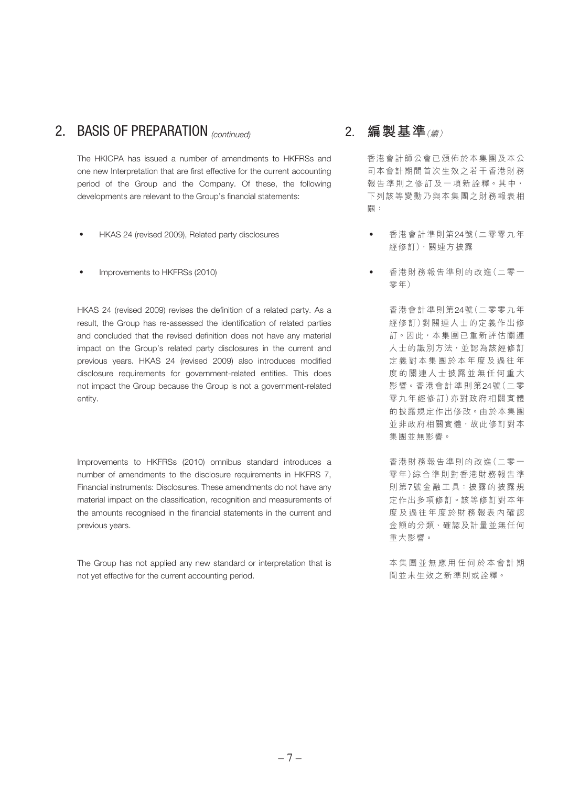### 2. BASIS OF PREPARATION (continued)

The HKICPA has issued a number of amendments to HKFRSs and one new Interpretation that are first effective for the current accounting period of the Group and the Company. Of these, the following developments are relevant to the Group's financial statements:

- HKAS 24 (revised 2009), Related party disclosures
- Improvements to HKFRSs (2010)

HKAS 24 (revised 2009) revises the definition of a related party. As a result, the Group has re-assessed the identification of related parties and concluded that the revised definition does not have any material impact on the Group's related party disclosures in the current and previous years. HKAS 24 (revised 2009) also introduces modified disclosure requirements for government-related entities. This does not impact the Group because the Group is not a government-related entity.

Improvements to HKFRSs (2010) omnibus standard introduces a number of amendments to the disclosure requirements in HKFRS 7, Financial instruments: Disclosures. These amendments do not have any material impact on the classification, recognition and measurements of the amounts recognised in the financial statements in the current and previous years.

The Group has not applied any new standard or interpretation that is not yet effective for the current accounting period.

### 2. **編製基準**(續)

香港會計師公會已頒佈於本集團及本公 司本會計期間首次生效之若干香港財務 報告準則之修訂及一項新詮釋。其中, 下列該等變動乃與本集團之財務報表相 關:

- ‧ 香港會計準則第24號(二零零九年 經修訂),關連方披露
- ‧ 香港財務報告準則的改進(二零一 零年)

香港會計準則第24號(二零零九年 經修訂)對關連人士的定義作出修 訂。因此,本集團已重新評估關連 人士的識別方法,並認為該經修訂 定義對本集團於本年度及過往年 度的關連人士披露並無任何重大 影響。香港會計準則第24號(二零 零九年經修訂)亦對政府相關實體 的披露規定作出修改。由於本集團 並非政府相關實體,故此修訂對本 集團並無影響。

香港財務報告準則的改進(二零一 零年)綜合準則對香港財務報告準 則第7號金融工具:披露的披露規 定作出多項修訂。該等修訂對本年 度及過往年度於財務報表內確認 金額的分類、確認及計量並無任何 重大影響。

本集團並無應用任何於本會計期 間並未生效之新準則或詮釋。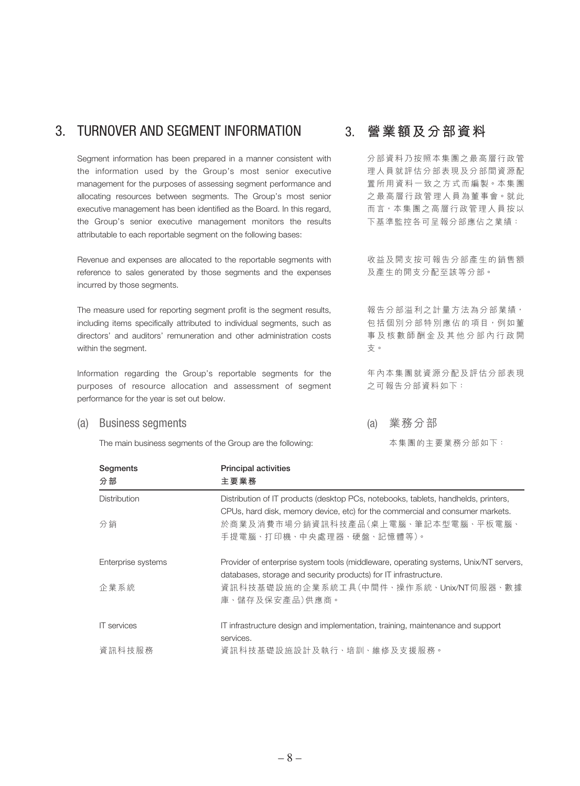### 3. TURNOVER AND SEGMENT INFORMATION

Segment information has been prepared in a manner consistent with the information used by the Group's most senior executive management for the purposes of assessing segment performance and allocating resources between segments. The Group's most senior executive management has been identified as the Board. In this regard, the Group's senior executive management monitors the results attributable to each reportable segment on the following bases:

Revenue and expenses are allocated to the reportable segments with reference to sales generated by those segments and the expenses incurred by those segments.

The measure used for reporting segment profit is the segment results, including items specifically attributed to individual segments, such as directors' and auditors' remuneration and other administration costs within the segment.

Information regarding the Group's reportable segments for the purposes of resource allocation and assessment of segment performance for the year is set out below.

#### (a) Business segments

The main business segments of the Group are the following:

### 3. **營業額及分部資料**

分部資料乃按照本集團之最高層行政管 理人員就評估分部表現及分部間資源配 置所用資料一致之方式而編製。本集團 之最高層行政管理人員為董事會。就此 而言,本集團之高層行政管理人員按以 下基準監控各可呈報分部應佔之業績:

收益及開支按可報告分部產生的銷售額 及產生的開支分配至該等分部。

報告分部溢利之計量方法為分部業績, 包括個別分部特別應佔的項目,例如董 事及核數師酬金及其他分部內行政開 支。

年內本集團就資源分配及評估分部表現 之可報告分部資料如下:

(a) 業務分部

本集團的主要業務分部如下:

| Segments<br>分部      | <b>Principal activities</b><br>主要業務                                                  |
|---------------------|--------------------------------------------------------------------------------------|
|                     |                                                                                      |
| <b>Distribution</b> | Distribution of IT products (desktop PCs, notebooks, tablets, handhelds, printers,   |
|                     | CPUs, hard disk, memory device, etc) for the commercial and consumer markets.        |
| 分銷                  | 於商業及消費市場分銷資訊科技產品(桌上電腦、筆記本型電腦、平板電腦、                                                   |
|                     | 手提電腦、打印機、中央處理器、硬盤、記憶體等)。                                                             |
| Enterprise systems  | Provider of enterprise system tools (middleware, operating systems, Unix/NT servers, |
|                     | databases, storage and security products) for IT infrastructure.                     |
| 企業系統                | 資訊科技基礎設施的企業系統工具(中間件、操作系統、Unix/NT伺服器、數據                                               |
|                     | 庫、儲存及保安產品)供應商。                                                                       |
| <b>IT</b> services  | IT infrastructure design and implementation, training, maintenance and support       |
|                     | services.                                                                            |
| 資訊科技服務              | 資訊科技基礎設施設計及執行、培訓、維修及支援服務。                                                            |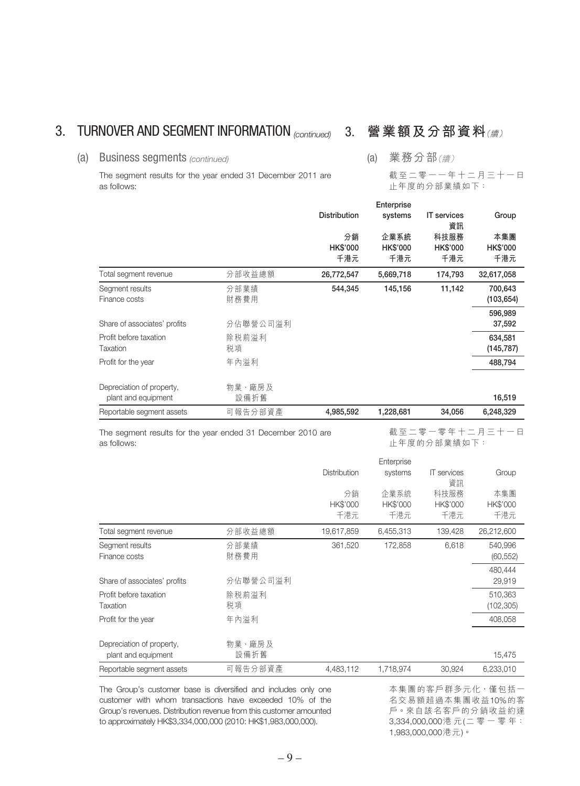### 3. TURNOVER AND SEGMENT INFORMATION <sub>(continued)</sub> 3. 營業額及分部資料(續)

### (a) Business segments (continued)

The segment results for the year ended 31 December 2011 are as follows:

### (a) 業務分部(續)

截至二零一一年十二月三十一日 止年度的分部業績如下:

|                                                                            |          |                     | Enterprise      |                          |                 |
|----------------------------------------------------------------------------|----------|---------------------|-----------------|--------------------------|-----------------|
|                                                                            |          | <b>Distribution</b> | systems         | <b>IT</b> services<br>資訊 | Group           |
|                                                                            |          | 分銷                  | 企業系統            | 科技服務                     | 本集團             |
|                                                                            |          | HK\$'000            | <b>HK\$'000</b> | <b>HK\$'000</b>          | <b>HK\$'000</b> |
|                                                                            |          | 千港元                 | 千港元             | 千港元                      | 千港元             |
| Total segment revenue                                                      | 分部收益總額   | 26,772,547          | 5,669,718       | 174,793                  | 32,617,058      |
| Segment results                                                            | 分部業績     | 544,345             | 145,156         | 11,142                   | 700,643         |
| Finance costs                                                              | 財務費用     |                     |                 |                          | (103, 654)      |
|                                                                            |          |                     |                 |                          | 596,989         |
| Share of associates' profits                                               | 分佔聯營公司溢利 |                     |                 |                          | 37,592          |
| Profit before taxation                                                     | 除税前溢利    |                     |                 |                          | 634,581         |
| Taxation                                                                   | 税項       |                     |                 |                          | (145, 787)      |
| Profit for the year                                                        | 年內溢利     |                     |                 |                          | 488,794         |
| Depreciation of property,                                                  | 物業、廠房及   |                     |                 |                          |                 |
| plant and equipment                                                        | 設備折舊     |                     |                 |                          | 16,519          |
| Reportable segment assets                                                  | 可報告分部資產  | 4,985,592           | 1,228,681       | 34.056                   | 6,248,329       |
| The segment results for the year ended 31 December 2010 are<br>as follows: |          |                     |                 | 止年度的分部業績如下:              | 截至二零一零年十二月三十一日  |
|                                                                            |          |                     | Enterprise      |                          |                 |
|                                                                            |          | Distribution        | systems         | <b>IT</b> services<br>資訊 | Group           |
|                                                                            |          | 分銷                  | 企業系統            | 科技服務                     | 本集團             |
|                                                                            |          | HK\$'000            | <b>HK\$'000</b> | HK\$'000                 | HK\$'000        |
|                                                                            |          | 千港元                 | 千港元             | 千港元                      | 千港元             |
| Total segment revenue                                                      | 分部收益總額   | 19,617,859          | 6,455,313       | 139,428                  | 26,212,600      |
| Segment results                                                            | 分部業績     | 361,520             | 172,858         | 6,618                    | 540,996         |

|                                                  |                | <b>Distribution</b><br>分銷<br><b>HK\$'000</b><br>千港元 | Enterprise<br>systems<br>企業系統<br><b>HK\$'000</b><br>千港元 | <b>IT</b> services<br>資訊<br>科技服務<br>HK\$'000<br>千港元 | Group<br>本集團<br><b>HK\$'000</b><br>千港元 |
|--------------------------------------------------|----------------|-----------------------------------------------------|---------------------------------------------------------|-----------------------------------------------------|----------------------------------------|
| Total segment revenue                            | 分部收益總額         | 19,617,859                                          | 6,455,313                                               | 139,428                                             | 26,212,600                             |
| Segment results<br>Finance costs                 | 分部業績<br>財務費用   | 361,520                                             | 172,858                                                 | 6,618                                               | 540,996<br>(60, 552)                   |
| Share of associates' profits                     | 分佔聯營公司溢利       |                                                     |                                                         |                                                     | 480,444<br>29,919                      |
| Profit before taxation<br>Taxation               | 除税前溢利<br>税項    |                                                     |                                                         |                                                     | 510,363<br>(102, 305)                  |
| Profit for the year                              | 年內溢利           |                                                     |                                                         |                                                     | 408,058                                |
| Depreciation of property,<br>plant and equipment | 物業、廠房及<br>設備折舊 |                                                     |                                                         |                                                     | 15,475                                 |
| Reportable segment assets                        | 可報告分部資產        | 4,483,112                                           | 1,718,974                                               | 30,924                                              | 6,233,010                              |

The Group's customer base is diversified and includes only one customer with whom transactions have exceeded 10% of the Group's revenues. Distribution revenue from this customer amounted to approximately HK\$3,334,000,000 (2010: HK\$1,983,000,000).

本集團的客戶群多元化,僅包括一 名交易額超過本集團收益10%的客 戶。來自該名客戶的分銷收益約達 3,334,000,000港 元(二 零 一 零 年: 1,983,000,000港元)。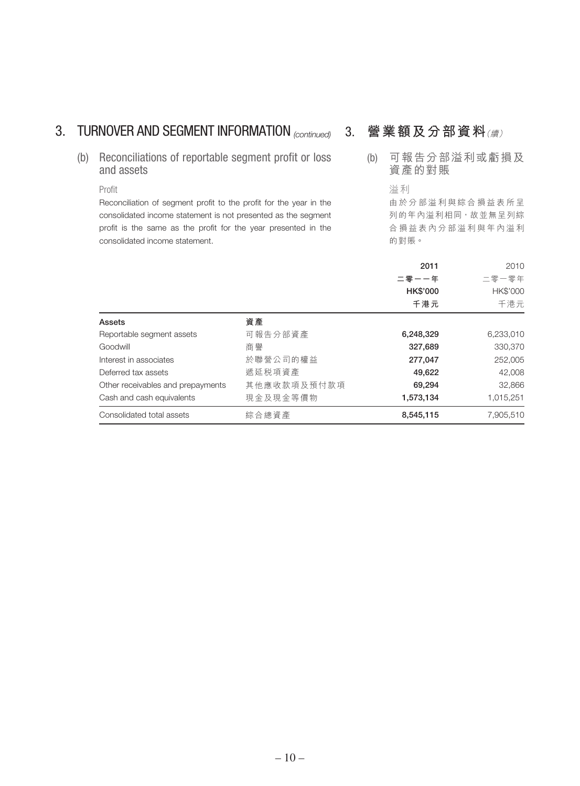## 3. TURNOVER AND SEGMENT INFORMATION (continued)

(b) Reconciliations of reportable segment profit or loss and assets

### Profit

Reconciliation of segment profit to the profit for the year in the consolidated income statement is not presented as the segment profit is the same as the profit for the year presented in the consolidated income statement.

## 3. **營業額及分部資料**(續)

(b) 可報告分部溢利或虧損及 資產的對賬

> 溢利 由於分部溢利與綜合損益表所呈 列的年內溢利相同,故並無呈列綜 合損益表內分部溢利與年內溢利 的對賬。

|                                   |                 | 2011            | 2010      |
|-----------------------------------|-----------------|-----------------|-----------|
|                                   |                 | 二零一一年           | 二零一零年     |
|                                   |                 | <b>HK\$'000</b> | HK\$'000  |
|                                   |                 | 千港元             | 千港元       |
| Assets                            | 資產              |                 |           |
| Reportable segment assets         | 可報告分部資產         | 6,248,329       | 6,233,010 |
| Goodwill                          | 商譽              | 327,689         | 330,370   |
| Interest in associates            | 於聯營公司的權益        | 277,047         | 252,005   |
| Deferred tax assets               | 遞延税項資產          | 49,622          | 42,008    |
| Other receivables and prepayments | 其他應收款項及預付款項     | 69,294          | 32,866    |
| Cash and cash equivalents         | 現 金 及 現 金 等 價 物 | 1,573,134       | 1,015,251 |
| Consolidated total assets         | 綜合總資產           | 8.545.115       | 7.905.510 |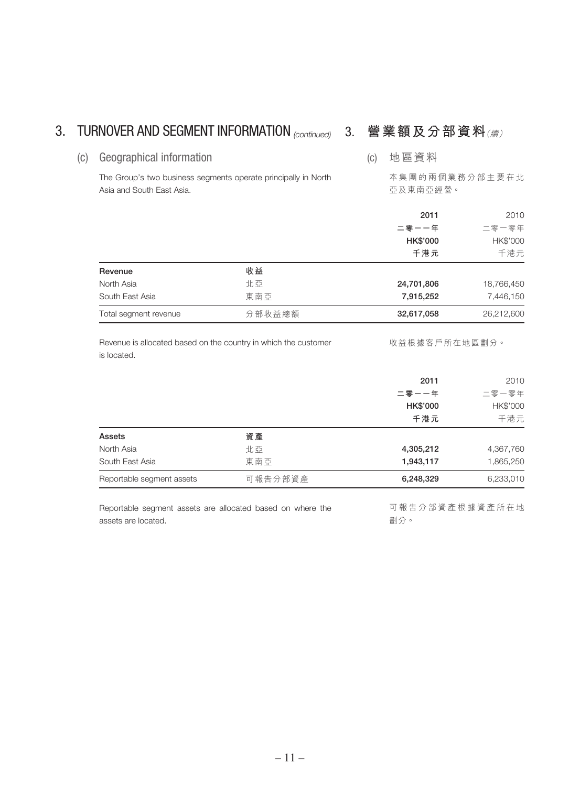### 3. TURNOVER AND SEGMENT INFORMATION <sub>(continued)</sub> 3. 營業額及分部資料(續)

(c) 地區資料

(c) Geographical information

The Group's two business segments operate principally in North Asia and South East Asia.

本集團的兩個業務分部主要在北 亞及東南亞經營。

|                       |        | 2011<br>二零一一年   | 2010<br>二零一零年 |
|-----------------------|--------|-----------------|---------------|
|                       |        | <b>HK\$'000</b> | HK\$'000      |
|                       |        | 千港元             | 千港元           |
| Revenue               | 收益     |                 |               |
| North Asia            | 北亞     | 24,701,806      | 18,766,450    |
| South East Asia       | 東南亞    | 7,915,252       | 7,446,150     |
| Total segment revenue | 分部收益總額 | 32,617,058      | 26,212,600    |

Revenue is allocated based on the country in which the customer is located.

收益根據客戶所在地區劃分。

|                           |         | 2011            | 2010      |
|---------------------------|---------|-----------------|-----------|
|                           |         | 二零一一年           | 二零一零年     |
|                           |         | <b>HK\$'000</b> | HK\$'000  |
|                           |         | 千港元             | 千港元       |
| Assets                    | 資產      |                 |           |
| North Asia                | 北亞      | 4,305,212       | 4,367,760 |
| South East Asia           | 東南亞     | 1,943,117       | 1,865,250 |
| Reportable segment assets | 可報告分部資產 | 6,248,329       | 6,233,010 |

Reportable segment assets are allocated based on where the assets are located.

可報告分部資產根據資產所在地 劃分。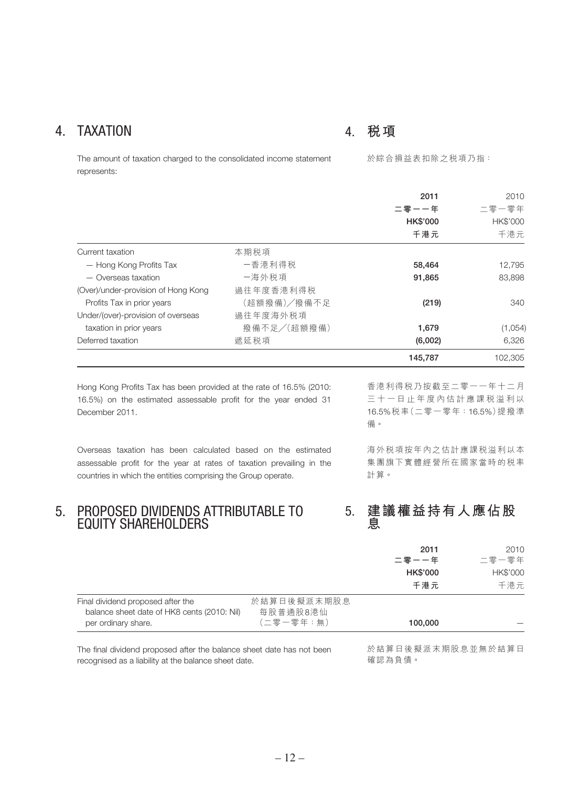### 4. TAXATION

### 4. **稅項**

The amount of taxation charged to the consolidated income statement represents:

於綜合損益表扣除之稅項乃指:

|                                     |             | 2011<br>二零一一年<br><b>HK\$'000</b><br>千港元 | 2010<br>二零一零年<br>HK\$'000<br>千港元 |
|-------------------------------------|-------------|-----------------------------------------|----------------------------------|
| Current taxation                    | 本期税項        |                                         |                                  |
| - Hong Kong Profits Tax             | 一香港利得税      | 58,464                                  | 12,795                           |
| - Overseas taxation                 | 一海外税項       | 91,865                                  | 83.898                           |
| (Over)/under-provision of Hong Kong | 過往年度香港利得税   |                                         |                                  |
| Profits Tax in prior years          | (超額撥備)/撥備不足 | (219)                                   | 340                              |
| Under/(over)-provision of overseas  | 過往年度海外税項    |                                         |                                  |
| taxation in prior years             | 撥備不足/(超額撥備) | 1,679                                   | (1,054)                          |
| Deferred taxation                   | 遞延税項        | (6,002)                                 | 6,326                            |
|                                     |             | 145,787                                 | 102,305                          |

Hong Kong Profits Tax has been provided at the rate of 16.5% (2010: 16.5%) on the estimated assessable profit for the year ended 31 December 2011.

Overseas taxation has been calculated based on the estimated assessable profit for the year at rates of taxation prevailing in the countries in which the entities comprising the Group operate.

### 5. PROPOSED DIVIDENDS ATTRIBUTABLE TO EQUITY SHAREHOLDERS

香港利得稅乃按截至二零一一年十二月 三十一日止年度內估計應課稅溢利以 16.5%稅率(二零一零年:16.5%)提撥準 備。

海外稅項按年內之估計應課稅溢利以本 集團旗下實體經營所在國家當時的税率 計算。

### 5. **建議權益持有人應佔股 息**

|                                                                                                         |                                      | 2011<br>二零一一年   | 2010<br>二零一零年   |
|---------------------------------------------------------------------------------------------------------|--------------------------------------|-----------------|-----------------|
|                                                                                                         |                                      | <b>HK\$'000</b> | <b>HK\$'000</b> |
|                                                                                                         |                                      | 千港元             | 千港元             |
| Final dividend proposed after the<br>balance sheet date of HK8 cents (2010: Nil)<br>per ordinary share. | 於結算日後擬派末期股息<br>每股普通股8港仙<br>(二零一零年:無) | 100,000         |                 |

The final dividend proposed after the balance sheet date has not been recognised as a liability at the balance sheet date.

於結算日後擬派末期股息並無於結算日 確認為負債。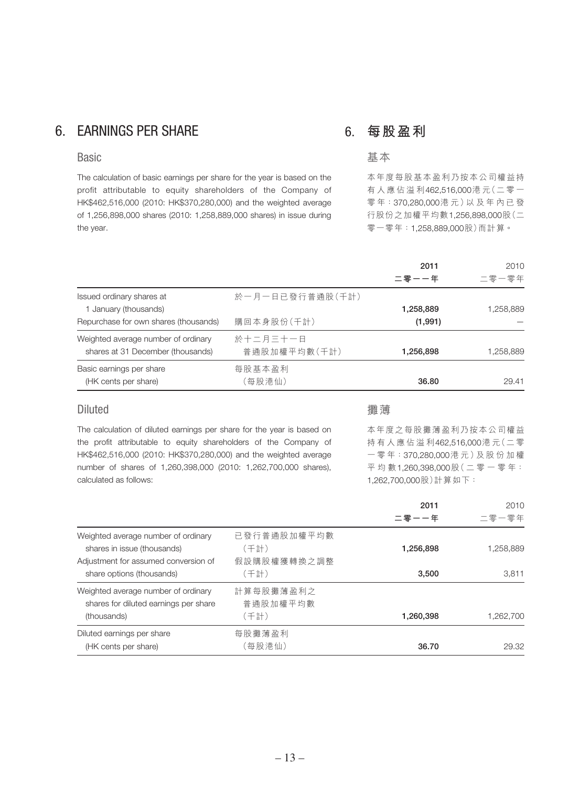### 6. EARNINGS PER SHARE

#### **Basic**

The calculation of basic earnings per share for the year is based on the profit attributable to equity shareholders of the Company of HK\$462,516,000 (2010: HK\$370,280,000) and the weighted average of 1,256,898,000 shares (2010: 1,258,889,000 shares) in issue during the year.

### 6. **每股盈利**

### 基本

本年度每股基本盈利乃按本公司權益持 有人應佔溢利462,516,000港 元(二零一 零 年:370,280,000港元)以及年內已發 行股份之加權平均數1,256,898,000股(二 零一零年:1,258,889,000股)而計算。

|                                                                          |                          | 2011<br>二零一一年 | 2010<br>二零一零年 |
|--------------------------------------------------------------------------|--------------------------|---------------|---------------|
| Issued ordinary shares at<br>1 January (thousands)                       | 於一月一日已發行普通股(千計)          | 1,258,889     | 1,258,889     |
| Repurchase for own shares (thousands)                                    | 購回本身股份(千計)               | (1,991)       |               |
| Weighted average number of ordinary<br>shares at 31 December (thousands) | 於十二月三十一日<br>普通股加權平均數(千計) | 1,256,898     | 1,258,889     |
| Basic earnings per share<br>(HK cents per share)                         | 每股基本盈利<br>〔每股港仙〕         | 36.80         | 29.41         |

### Diluted

The calculation of diluted earnings per share for the year is based on the profit attributable to equity shareholders of the Company of HK\$462,516,000 (2010: HK\$370,280,000) and the weighted average number of shares of 1,260,398,000 (2010: 1,262,700,000 shares), calculated as follows:

#### 攤薄

本年度之每股攤薄盈利乃按本公司權益 持有人應佔溢利462,516,000港 元(二零 一 零 年:370,280,000港元)及股份加權 平均數1,260,398,000股(二零一零年: 1,262,700,000股)計算如下:

|                                                                                                                                         |                                            | 2011<br>二零一一年      | 2010<br>二零一零年      |
|-----------------------------------------------------------------------------------------------------------------------------------------|--------------------------------------------|--------------------|--------------------|
| Weighted average number of ordinary<br>shares in issue (thousands)<br>Adjustment for assumed conversion of<br>share options (thousands) | 已發行普通股加權平均數<br>(千計)<br>假設購股權獲轉換之調整<br>(千計) | 1,256,898<br>3.500 | 1,258,889<br>3.811 |
| Weighted average number of ordinary<br>shares for diluted earnings per share<br>(thousands)                                             | 計算每股攤薄盈利之<br>普通股加權平均數<br>(千計)              | 1,260,398          | 1,262,700          |
| Diluted earnings per share<br>(HK cents per share)                                                                                      | 每股攤薄盈利<br>〔每股港仙〕                           | 36.70              | 29.32              |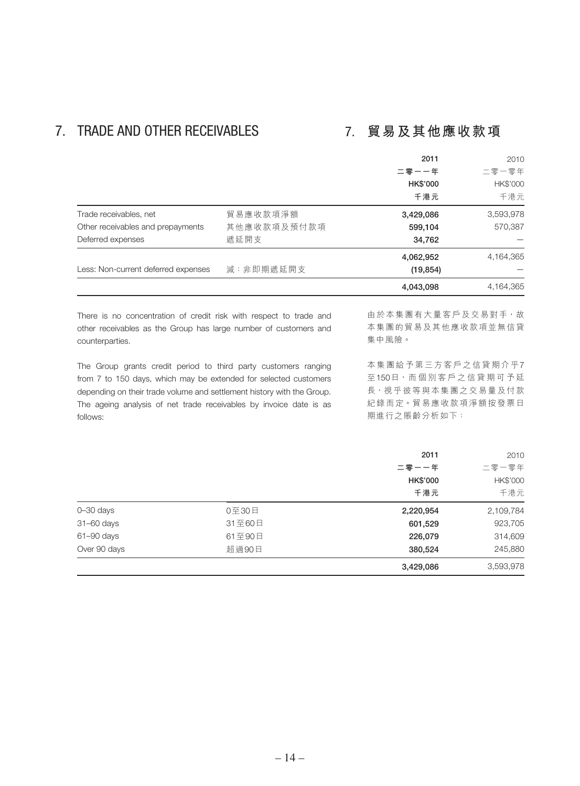## 7. TRADE AND OTHER RECEIVABLES 7. **貿易及其他應收款項**

|                                     |             | 2011            | 2010      |
|-------------------------------------|-------------|-----------------|-----------|
|                                     |             | 二零一一年           | 二零一零年     |
|                                     |             | <b>HK\$'000</b> | HK\$'000  |
|                                     |             | 千港元             | 千港元       |
| Trade receivables, net              | 貿易應收款項淨額    | 3,429,086       | 3,593,978 |
| Other receivables and prepayments   | 其他應收款項及預付款項 | 599,104         | 570,387   |
| Deferred expenses                   | 遞延開支        | 34,762          |           |
|                                     |             | 4,062,952       | 4,164,365 |
| Less: Non-current deferred expenses | 減:非即期遞延開支   | (19, 854)       |           |
|                                     |             | 4,043,098       | 4,164,365 |
|                                     |             |                 |           |

There is no concentration of credit risk with respect to trade and other receivables as the Group has large number of customers and counterparties.

The Group grants credit period to third party customers ranging from 7 to 150 days, which may be extended for selected customers depending on their trade volume and settlement history with the Group. The ageing analysis of net trade receivables by invoice date is as follows:

由於本集團有大量客戶及交易對手,故 本集團的貿易及其他應收款項並無信貸 集中風險。

本集團給予第三方客戶之信貸期介乎7 至150日,而 個別客戶之信貸期可予延 長,視乎彼等與本集團之交易量及付款 紀錄而定。貿易應收款項淨額按發票日 期進行之賬齡分析如下:

|                |        | 2011            | 2010      |
|----------------|--------|-----------------|-----------|
|                |        | 二零一一年           | 二零一零年     |
|                |        | <b>HK\$'000</b> | HK\$'000  |
|                |        | 千港元             | 千港元       |
| $0 - 30$ days  | 0至30日  | 2,220,954       | 2,109,784 |
| $31 - 60$ days | 31至60日 | 601,529         | 923,705   |
| $61 - 90$ days | 61至90日 | 226,079         | 314,609   |
| Over 90 days   | 超過90日  | 380,524         | 245,880   |
|                |        | 3,429,086       | 3,593,978 |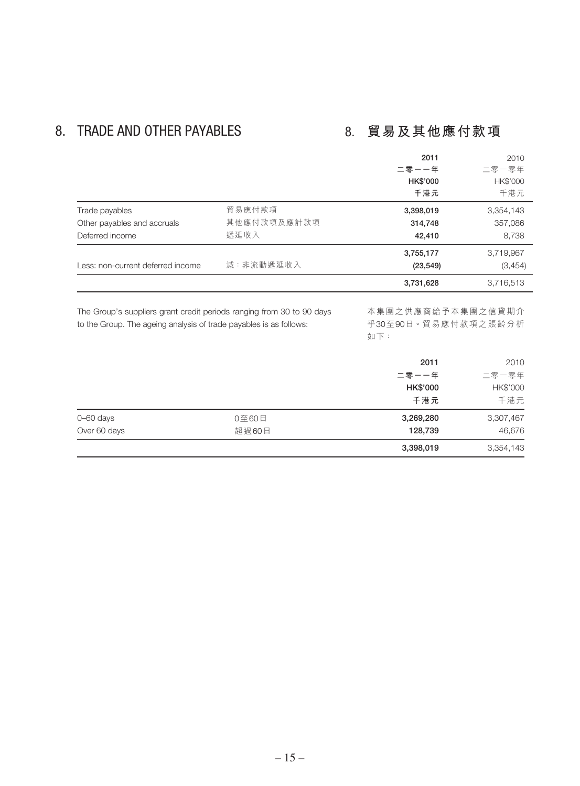## 8. TRADE AND OTHER PAYABLES 8. **貿易及其他應付款項**

|                                   |             | 2011            | 2010      |
|-----------------------------------|-------------|-----------------|-----------|
|                                   |             | 二零一一年           | 二零一零年     |
|                                   |             | <b>HK\$'000</b> | HK\$'000  |
|                                   |             | 千港元             | 千港元       |
| Trade payables                    | 貿易應付款項      | 3,398,019       | 3,354,143 |
| Other payables and accruals       | 其他應付款項及應計款項 | 314,748         | 357,086   |
| Deferred income                   | 遞延收入        | 42,410          | 8,738     |
|                                   |             | 3,755,177       | 3,719,967 |
| Less: non-current deferred income | 減:非流動遞延收入   | (23, 549)       | (3,454)   |
|                                   |             | 3,731,628       | 3,716,513 |

The Group's suppliers grant credit periods ranging from 30 to 90 days to the Group. The ageing analysis of trade payables is as follows:

本集團之供應商給予本集團之信貸期介 乎30至90日。貿易應付款項之賬齡分析 如下:

|               |       | 2011            | 2010      |
|---------------|-------|-----------------|-----------|
|               |       | 二零一一年           | 二零一零年     |
|               |       | <b>HK\$'000</b> | HK\$'000  |
|               |       | 千港元             | 千港元       |
| $0 - 60$ days | 0至60日 | 3,269,280       | 3,307,467 |
| Over 60 days  | 超過60日 | 128,739         | 46,676    |
|               |       | 3,398,019       | 3,354,143 |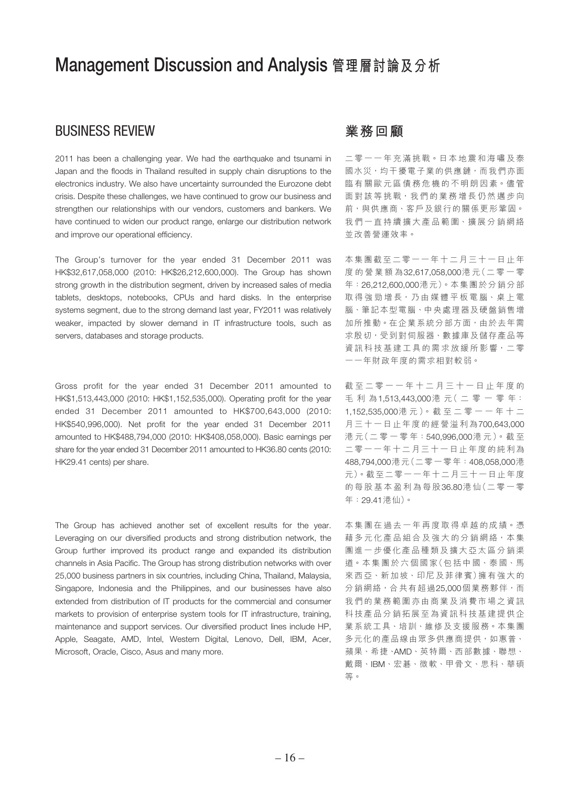## Management Discussion and Analysis **管理層討論及分析**

### BUSINESS REVIEW

2011 has been a challenging year. We had the earthquake and tsunami in Japan and the floods in Thailand resulted in supply chain disruptions to the electronics industry. We also have uncertainty surrounded the Eurozone debt crisis. Despite these challenges, we have continued to grow our business and strengthen our relationships with our vendors, customers and bankers. We have continued to widen our product range, enlarge our distribution network and improve our operational efficiency.

The Group's turnover for the year ended 31 December 2011 was HK\$32,617,058,000 (2010: HK\$26,212,600,000). The Group has shown strong growth in the distribution segment, driven by increased sales of media tablets, desktops, notebooks, CPUs and hard disks. In the enterprise systems segment, due to the strong demand last year, FY2011 was relatively weaker, impacted by slower demand in IT infrastructure tools, such as servers, databases and storage products.

Gross profit for the year ended 31 December 2011 amounted to HK\$1,513,443,000 (2010: HK\$1,152,535,000). Operating profit for the year ended 31 December 2011 amounted to HK\$700,643,000 (2010: HK\$540,996,000). Net profit for the year ended 31 December 2011 amounted to HK\$488,794,000 (2010: HK\$408,058,000). Basic earnings per share for the year ended 31 December 2011 amounted to HK36.80 cents (2010: HK29.41 cents) per share.

The Group has achieved another set of excellent results for the year. Leveraging on our diversified products and strong distribution network, the Group further improved its product range and expanded its distribution channels in Asia Pacific. The Group has strong distribution networks with over 25,000 business partners in six countries, including China, Thailand, Malaysia, Singapore, Indonesia and the Philippines, and our businesses have also extended from distribution of IT products for the commercial and consumer markets to provision of enterprise system tools for IT infrastructure, training, maintenance and support services. Our diversified product lines include HP, Apple, Seagate, AMD, Intel, Western Digital, Lenovo, Dell, IBM, Acer, Microsoft, Oracle, Cisco, Asus and many more.

### **業務回顧**

二零一一年充滿挑戰。日本地震和海嘯及泰 國水災,均干擾電子業的供應鏈,而我們亦面 臨有關歐元區債務危機的不明朗因素。儘管 面對該等挑戰,我們的業務增長仍然邁步向 前,與供應商、客戶及銀行的關係更形鞏固。 我們一直持續擴大產品範圍、擴展分銷網絡 並改善營運效率。

本集團截至二零一一年十二月三十一日止年 度的營業額為32,617,058,000港 元(二零一零 年:26,212,600,000港元)。本集團於分銷分部 取得強勁增長,乃由媒體平板電腦、桌上電 腦、筆記本型電腦、中央處理器及硬盤銷售增 加所推動。在企業系統分部方面,由於去年需 求殷切,受到對伺服器、數據庫及儲存產品等 資訊科技基建工具的需求放緩所影響,二零 一一年財政年度的需求相對較弱。

截至二零一一年十二月三十一日止年度的 毛利為1,513,443,000港 元( 二 零 一 零 年: 1,152,535,000港元)。截至二零一一年十二 月三十一日止年度的經營溢利為700,643,000 港 元(二 零 一 零 年:540,996,000港元)。截至 二零一一年十二月三十一日止年度的純利為 488,794,000港元(二零一零年:408,058,000港 元)。截至二零一一年十二月三十一日止年度 的每股基本盈利為每股36.80港 仙(二零一零 年:29.41港仙)。

本集團在過去一年再度取得卓越的成績。憑 藉多元化產品組合及強大的分銷網絡,本集 團進一步優化產品種類及擴大亞太區分銷渠 道。本集團於六個國家(包括中國、泰國、馬 來西亞、新加坡、印尼及菲律賓)擁有強大的 分銷網絡,合共有超過25,000個業務夥伴,而 我們的業務範圍亦由商業及消費市場之資訊 科技產品分銷拓展至為資訊科技基建提供企 業系統工具、培訓、維修及支援服務。本集團 多元化的產品線由眾多供應商提供,如惠普、 蘋果、希捷、AMD、英特爾、西部數據、聯想、 戴爾、IBM、宏碁、微軟、甲骨文、思科、華碩 等。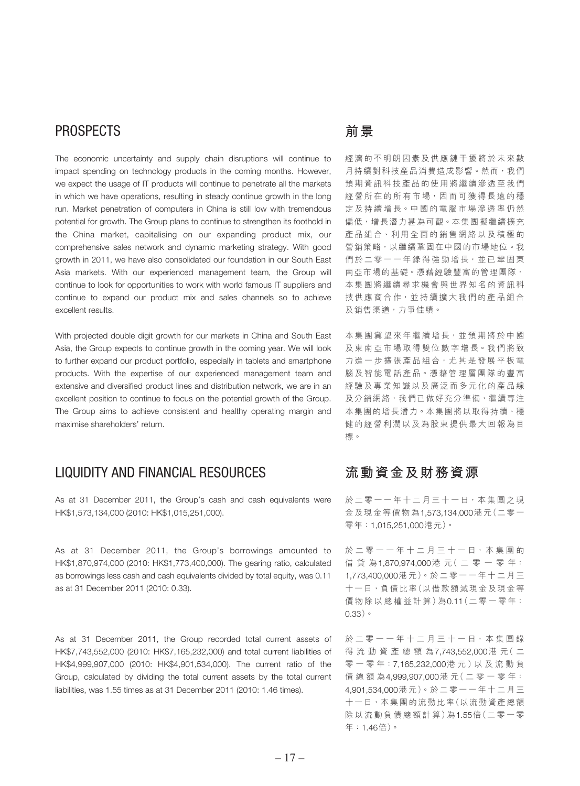### PROSPECTS

The economic uncertainty and supply chain disruptions will continue to impact spending on technology products in the coming months. However, we expect the usage of IT products will continue to penetrate all the markets in which we have operations, resulting in steady continue growth in the long run. Market penetration of computers in China is still low with tremendous potential for growth. The Group plans to continue to strengthen its foothold in the China market, capitalising on our expanding product mix, our comprehensive sales network and dynamic marketing strategy. With good growth in 2011, we have also consolidated our foundation in our South East Asia markets. With our experienced management team, the Group will continue to look for opportunities to work with world famous IT suppliers and continue to expand our product mix and sales channels so to achieve excellent results.

With projected double digit growth for our markets in China and South East Asia, the Group expects to continue growth in the coming year. We will look to further expand our product portfolio, especially in tablets and smartphone products. With the expertise of our experienced management team and extensive and diversified product lines and distribution network, we are in an excellent position to continue to focus on the potential growth of the Group. The Group aims to achieve consistent and healthy operating margin and maximise shareholders' return.

### LIQUIDITY AND FINANCIAL RESOURCES

As at 31 December 2011, the Group's cash and cash equivalents were HK\$1,573,134,000 (2010: HK\$1,015,251,000).

As at 31 December 2011, the Group's borrowings amounted to HK\$1,870,974,000 (2010: HK\$1,773,400,000). The gearing ratio, calculated as borrowings less cash and cash equivalents divided by total equity, was 0.11 as at 31 December 2011 (2010: 0.33).

As at 31 December 2011, the Group recorded total current assets of HK\$7,743,552,000 (2010: HK\$7,165,232,000) and total current liabilities of HK\$4,999,907,000 (2010: HK\$4,901,534,000). The current ratio of the Group, calculated by dividing the total current assets by the total current liabilities, was 1.55 times as at 31 December 2011 (2010: 1.46 times).

### **前景**

經濟的不明朗因素及供應鏈干擾將於未來數 月持續對科技產品消費造成影響。然而,我們 預期資訊科技產品的使用將繼續滲透至我們 經營所在的所有市場,因而可獲得長遠的穩 定及持續增長。中國的電腦市場滲透率仍然 偏低,增長潛力甚為可觀。本集團擬繼續擴充 產品組合、利用全面的銷售網絡以及積極的 營銷策略,以繼續鞏固在中國的市場地位。我 們於二零一一年錄得強勁增長,並已鞏固東 南亞市場的基礎。憑藉經驗豐富的管理團隊, 本集團將繼續尋求機會與世界知名的資訊科 技供應商合作,並持續擴大我們的產品組合 及銷售渠道,力爭佳績。

本集團冀望來年繼續增長,並預期將於中國 及東南亞市場取得雙位數字增長。我們將致 力進一步擴張產品組合,尤其是發展平板電 腦及智能電話產品。憑藉管理層團隊的豐富 經驗及專業知識以及廣泛而多元化的產品線 及分銷網絡,我們已做好充分準備,繼續專注 本集團的增長潛力。本集團將以取得持續、穩 健的經營利潤以及為股東提供最大回報為目 標。

### **流動資金及財務資源**

於二零一一年十二月三十一日,本集團之現 金及現金等價物為1,573,134,000港元(二零一 零年:1,015,251,000港元)。

於 二 零 一 一 年 十 二 月 三 十 一 日 · 本 集 團 的 借貸為1,870,974,000港 元( 二 零 一 零 年: 1,773,400,000港元)。於二零一一年十二月三 十一日,負債比率(以借款額減現金及現金等 價物除以總權益計算)為0.11(二零一零年: 0.33)。

於二零一一年十二月三十一日,本集團錄 得流動資產總額為7,743,552,000港 元( 二 零 一 零 年:7,165,232,000港 元 )以 及 流 動 負 債總額為4,999,907,000港 元( 二 零 一 零 年: 4,901,534,000港元)。於二零一一年十二月三 十一日,本集團的流動比率(以流動資產總額 除以流動負債總額計算)為1.55倍(二零一零 年:1.46倍)。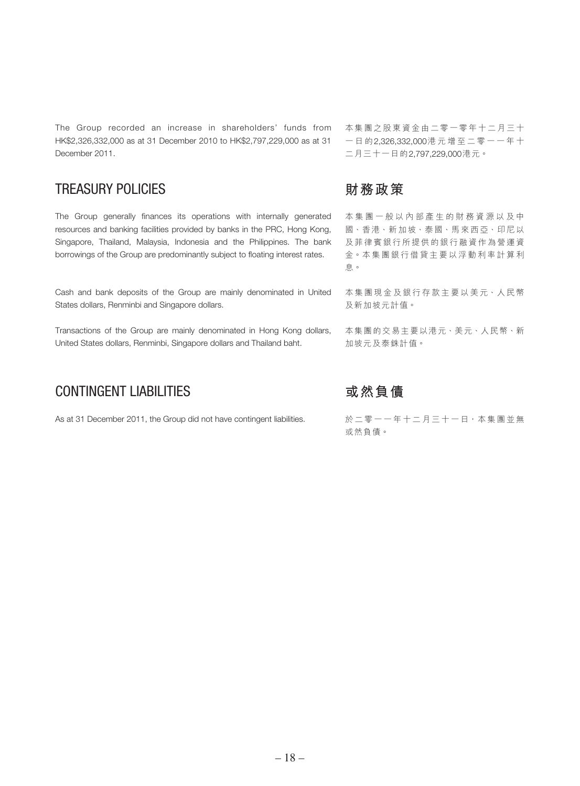The Group recorded an increase in shareholders' funds from HK\$2,326,332,000 as at 31 December 2010 to HK\$2,797,229,000 as at 31 December 2011.

### TREASURY POLICIES

The Group generally finances its operations with internally generated resources and banking facilities provided by banks in the PRC, Hong Kong, Singapore, Thailand, Malaysia, Indonesia and the Philippines. The bank borrowings of the Group are predominantly subject to floating interest rates.

Cash and bank deposits of the Group are mainly denominated in United States dollars, Renminbi and Singapore dollars.

Transactions of the Group are mainly denominated in Hong Kong dollars, United States dollars, Renminbi, Singapore dollars and Thailand baht.

### CONTINGENT LIABILITIES

As at 31 December 2011, the Group did not have contingent liabilities.

本集團之股東資金由二零一零年十二月三十 一日的2,326,332,000港元增至二零一一年十 二月三十一日的2,797,229,000港元。

### **財務政策**

本集團一般以內部產生的財務資源以及中 國、香港、新加坡、泰國、馬來西亞、印尼以 及菲律賓銀行所提供的銀行融資作為營運資 金。本集團銀行借貸主要以浮動利率計算利 息。

本集團現金及銀行存款主要以美元、人民幣 及新加坡元計值。

本集團的交易主要以港元、美元、人民幣、新 加坡元及泰銖計值。

### **或然負債**

於二零一一年十二月三十一日,本集團並無 或然負債。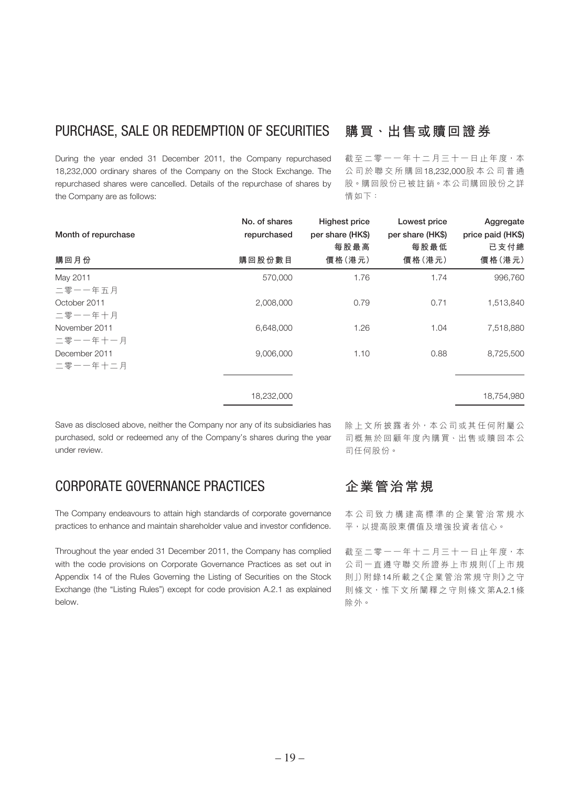### PURCHASE, SALE OR REDEMPTION OF SECURITIES

During the year ended 31 December 2011, the Company repurchased 18,232,000 ordinary shares of the Company on the Stock Exchange. The repurchased shares were cancelled. Details of the repurchase of shares by the Company are as follows:

### **購買、出售或贖回證券**

截至二零一一年十二月三十一日止年度,本 公司於聯交所購回18,232,000股本公司普通 股。購回股份已被註銷。本公司購回股份之詳 情如下:

| Month of repurchase       | No. of shares<br>repurchased | <b>Highest price</b><br>per share (HK\$)<br>每股最高 | Lowest price<br>per share (HK\$)<br>每股最低 | Aggregate<br>price paid (HK\$)<br>已支付總 |
|---------------------------|------------------------------|--------------------------------------------------|------------------------------------------|----------------------------------------|
| 購回月份                      | 購回股份數目                       | 價格(港元)                                           | 價格 (港元)                                  | 價格 (港元)                                |
| May 2011<br>二零一一年五月       | 570,000                      | 1.76                                             | 1.74                                     | 996,760                                |
| October 2011<br>二零一一年十月   | 2,008,000                    | 0.79                                             | 0.71                                     | 1,513,840                              |
| November 2011<br>二零一一年十一月 | 6,648,000                    | 1.26                                             | 1.04                                     | 7,518,880                              |
| December 2011<br>二零一一年十二月 | 9,006,000                    | 1.10                                             | 0.88                                     | 8,725,500                              |
|                           | 18,232,000                   |                                                  |                                          | 18,754,980                             |

Save as disclosed above, neither the Company nor any of its subsidiaries has purchased, sold or redeemed any of the Company's shares during the year under review.

### CORPORATE GOVERNANCE PRACTICES

The Company endeavours to attain high standards of corporate governance practices to enhance and maintain shareholder value and investor confidence.

Throughout the year ended 31 December 2011, the Company has complied with the code provisions on Corporate Governance Practices as set out in Appendix 14 of the Rules Governing the Listing of Securities on the Stock Exchange (the "Listing Rules") except for code provision A.2.1 as explained below.

除上文所披露者外,本公司或其任何附屬公 司概無於回顧年度內購買、出售或贖回本公 司任何股份。

### **企業管治常規**

本公司致力構建高標準的企業管治常規水 平,以提高股東價值及增強投資者信心。

截至二零一一年十二月三十一日止年度,本 公司一直遵守聯交所證券上市規則(「上市規 則」)附錄14所載之《企業管治常規守則》之守 則條文,惟下文所闡釋之守則條文第A.2.1條 除外。